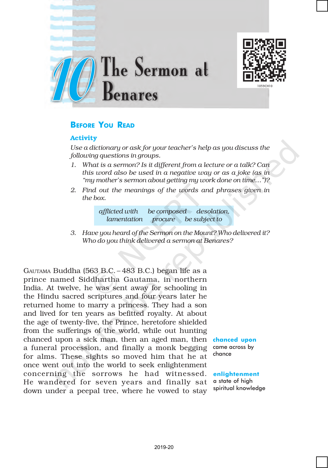



# BEFORE YOU READ

## Activity

*Use a dictionary or ask for your teacher's help as you discuss the following questions in groups.*

- *1. What is a sermon? Is it different from a lecture or a talk? Can this word also be used in a negative way or as a joke (as in "my mother's sermon about getting my work done on time…")?*
- *2. Find out the meanings of the words and phrases given in the box.*



*3. Have you heard of the Sermon on the Mount? Who delivered it? Who do you think delivered a sermon at Benares?*

GAUTAMA Buddha (563 B.C. – 483 B.C.) began life as a prince named Siddhartha Gautama, in northern India. At twelve, he was sent away for schooling in the Hindu sacred scriptures and four years later he returned home to marry a princess. They had a son and lived for ten years as befitted royalty. At about the age of twenty-five, the Prince, heretofore shielded from the sufferings of the world, while out hunting chanced upon a sick man, then an aged man, then **chanced upon** a funeral procession, and finally a monk begging for alms. These sights so moved him that he at once went out into the world to seek enlightenment concerning the sorrows he had witnessed. He wandered for seven years and finally sat down under a peepal tree, where he vowed to stay

came across by chance

enlightenment

a state of high spiritual knowledge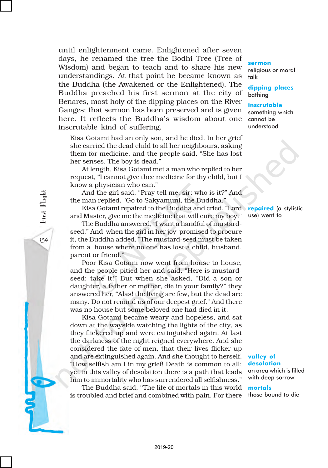until enlightenment came. Enlightened after seven days, he renamed the tree the Bodhi Tree (Tree of Wisdom) and began to teach and to share his new understandings. At that point he became known as the Buddha (the Awakened or the Enlightened). The Buddha preached his first sermon at the city of Benares, most holy of the dipping places on the River Ganges; that sermon has been preserved and is given here. It reflects the Buddha's wisdom about one inscrutable kind of suffering.

Kisa Gotami had an only son, and he died. In her grief she carried the dead child to all her neighbours, asking them for medicine, and the people said, "She has lost her senses. The boy is dead."

At length, Kisa Gotami met a man who replied to her request, "I cannot give thee medicine for thy child, but I know a physician who can."

And the girl said, "Pray tell me, sir; who is it?" And the man replied, "Go to Sakyamuni, the Buddha."

Kisa Gotami repaired to the Buddha and cried, "Lord repaired (a stylistic and Master, give me the medicine that will cure my boy."

The Buddha answered, "I want a handful of mustardseed." And when the girl in her joy promised to procure it, the Buddha added, "The mustard-seed must be taken from a house where no one has lost a child, husband, parent or friend."

Poor Kisa Gotami now went from house to house, and the people pitied her and said, "Here is mustardseed; take it!" But when she asked, "Did a son or daughter, a father or mother, die in your family?" they answered her, "Alas! the living are few, but the dead are many. Do not remind us of our deepest grief." And there was no house but some beloved one had died in it.

Kisa Gotami became weary and hopeless, and sat down at the wayside watching the lights of the city, as they flickered up and were extinguished again. At last the darkness of the night reigned everywhere. And she considered the fate of men, that their lives flicker up and are extinguished again. And she thought to herself, "How selfish am I in my grief! Death is common to all; yet in this valley of desolation there is a path that leads him to immortality who has surrendered all selfishness."

The Buddha said, ''The life of mortals in this world is troubled and brief and combined with pain. For there

#### sermon

religious or moral talk

dipping places bathing

inscrutable something which cannot be understood

use) went to

#### valley of desolation

an area which is filled with deep sorrow

mortals those bound to die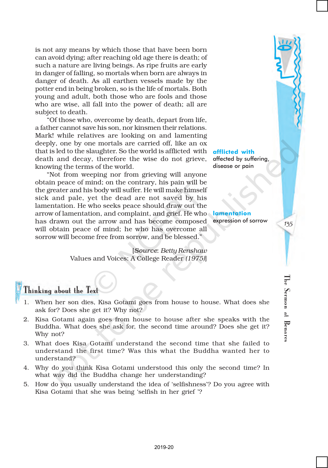is not any means by which those that have been born can avoid dying; after reaching old age there is death; of such a nature are living beings. As ripe fruits are early in danger of falling, so mortals when born are always in danger of death. As all earthen vessels made by the potter end in being broken, so is the life of mortals. Both young and adult, both those who are fools and those who are wise, all fall into the power of death; all are subject to death.

"Of those who, overcome by death, depart from life, a father cannot save his son, nor kinsmen their relations. Mark! while relatives are looking on and lamenting deeply, one by one mortals are carried off, like an ox that is led to the slaughter. So the world is afflicted with death and decay, therefore the wise do not grieve, knowing the terms of the world.

"Not from weeping nor from grieving will anyone obtain peace of mind; on the contrary, his pain will be the greater and his body will suffer. He will make himself sick and pale, yet the dead are not saved by his lamentation. He who seeks peace should draw out the arrow of lamentation, and complaint, and grief. He who has drawn out the arrow and has become composed will obtain peace of mind; he who has overcome all sorrow will become free from sorrow, and be blessed."

> [*Source*: *Betty Renshaw* Values and Voices: A College Reader *(1975)*]

afflicted with affected by suffering, disease or pain

lamentation expression of sorrow

135

The Sermon at Benares

Sermon at Benare.

 $\mathbb{F}^{\mathsf{e}}$ 

# Thinking about the Text

- 1. When her son dies, Kisa Gotami goes from house to house. What does she ask for? Does she get it? Why not?
- 2. Kisa Gotami again goes from house to house after she speaks with the Buddha. What does she ask for, the second time around? Does she get it? Why not?
- 3. What does Kisa Gotami understand the second time that she failed to understand the first time? Was this what the Buddha wanted her to understand?
- 4. Why do you think Kisa Gotami understood this only the second time? In what way did the Buddha change her understanding?
- 5. How do you usually understand the idea of 'selfishness'? Do you agree with Kisa Gotami that she was being 'selfish in her grief '?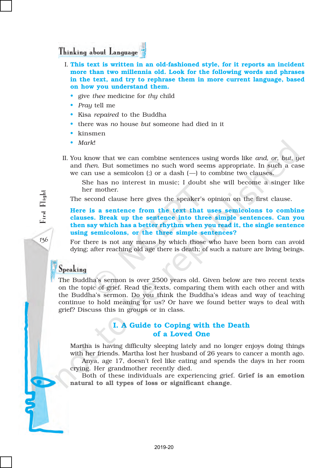# Thinking about Language

- I. This text is written in an old-fashioned style, for it reports an incident more than two millennia old. Look for the following words and phrases in the text, and try to rephrase them in more current language, based on how you understand them.
	- give *thee* medicine for *thy* child
	- *Pray* tell me
	- Kisa *repaired* to the Buddha
	- there was *no* house *but* someone had died in it
	- kinsmen
	- *Mark*!
- II. You know that we can combine sentences using words like *and*, *or*, *but, yet* and *then*. But sometimes no such word seems appropriate. In such a case we can use a semicolon (;) or a dash  $(-)$  to combine two clauses.

She has no interest in music; I doubt she will become a singer like her mother.

The second clause here gives the speaker's opinion on the first clause.

Here is a sentence from the text that uses semicolons to combine clauses. Break up the sentence into three simple sentences. Can you then say which has a better rhythm when you read it, the single sentence using semicolons, or the three simple sentences?

For there is not any means by which those who have been born can avoid dying; after reaching old age there is death; of such a nature are living beings.

# Speaking

The Buddha's sermon is over 2500 years old. Given below are two recent texts on the topic of grief. Read the texts, comparing them with each other and with the Buddha's sermon. Do you think the Buddha's ideas and way of teaching continue to hold meaning for us? Or have we found better ways to deal with grief? Discuss this in groups or in class.

## I. A Guide to Coping with the Death of a Loved One

Martha is having difficulty sleeping lately and no longer enjoys doing things with her friends. Martha lost her husband of 26 years to cancer a month ago.

Anya, age 17, doesn't feel like eating and spends the days in her room crying. Her grandmother recently died.

Both of these individuals are experiencing grief. Grief is an emotion natural to all types of loss or significant change.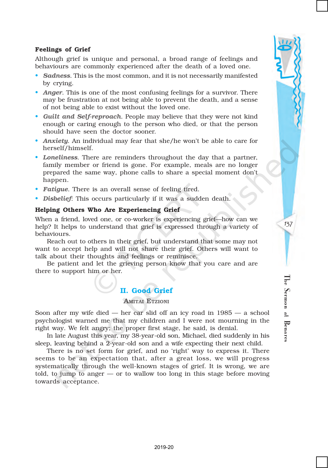### Feelings of Grief

Although grief is unique and personal, a broad range of feelings and behaviours are commonly experienced after the death of a loved one.

- *Sadness*. This is the most common, and it is not necessarily manifested by crying.
- *Anger*. This is one of the most confusing feelings for a survivor. There may be frustration at not being able to prevent the death, and a sense of not being able to exist without the loved one.
- *Guilt and Self-reproach*. People may believe that they were not kind enough or caring enough to the person who died, or that the person should have seen the doctor sooner.
- *Anxiety*. An individual may fear that she/he won't be able to care for herself/himself.
- *Loneliness*. There are reminders throughout the day that a partner, family member or friend is gone. For example, meals are no longer prepared the same way, phone calls to share a special moment don't happen.
- *Fatigue*. There is an overall sense of feeling tired.
- *Disbelief*: This occurs particularly if it was a sudden death.

### Helping Others Who Are Experiencing Grief

When a friend, loved one, or co-worker is experiencing grief—how can we help? It helps to understand that grief is expressed through a variety of behaviours.

Reach out to others in their grief, but understand that some may not want to accept help and will not share their grief. Others will want to talk about their thoughts and feelings or reminisce.

Be patient and let the grieving person know that you care and are there to support him or her.

## II. Good Grief

#### AMITAI ETZIONI

Soon after my wife died — her car slid off an icy road in 1985 — a school psychologist warned me that my children and I were not mourning in the right way. We felt angry; the proper first stage, he said, is denial.

In late August this year, my 38-year-old son, Michael, died suddenly in his sleep, leaving behind a 2-year-old son and a wife expecting their next child.

There is no set form for grief, and no 'right' way to express it. There seems to be an expectation that, after a great loss, we will progress systematically through the well-known stages of grief. It is wrong, we are told, to jump to anger — or to wallow too long in this stage before moving towards acceptance.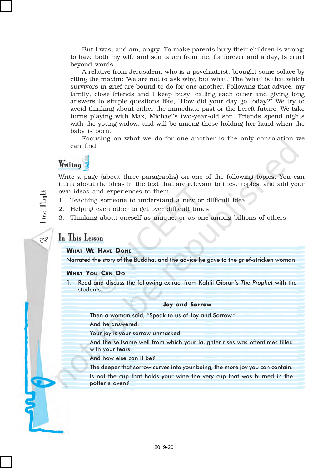But I was, and am, angry. To make parents bury their children is wrong; to have both my wife and son taken from me, for forever and a day, is cruel beyond words.

A relative from Jerusalem, who is a psychiatrist, brought some solace by citing the maxim: 'We are not to ask why, but what.' The 'what' is that which survivors in grief are bound to do for one another. Following that advice, my family, close friends and I keep busy, calling each other and giving long answers to simple questions like, "How did your day go today?" We try to avoid thinking about either the immediate past or the bereft future. We take turns playing with Max, Michael's two-year-old son. Friends spend nights with the young widow, and will be among those holding her hand when the baby is born.

Focusing on what we do for one another is the only consolation we can find.

# Writing

Write a page (about three paragraphs) on one of the following topics. You can think about the ideas in the text that are relevant to these topics, and add your own ideas and experiences to them.

- 1. Teaching someone to understand a new or difficult idea
- 2. Helping each other to get over difficult times
- 3. Thinking about oneself as unique, or as one among billions of others

# In This Lesson

WHAT WE HAVE DONE

Narrated the story of the Buddha, and the advice he gave to the grief-stricken woman.

#### WHAT YOU CAN D<sup>O</sup>

Read and discuss the following extract from Kahlil Gibran's The Prophet with the students.

#### Joy and Sorrow

Then a woman said, "Speak to us of Joy and Sorrow."

And he answered:

Your joy is your sorrow unmasked.

And the selfsame well from which your laughter rises was oftentimes filled with your tears.

And how else can it be?

The deeper that sorrow carves into your being, the more joy you can contain.

Is not the cup that holds your wine the very cup that was burned in the potter's oven?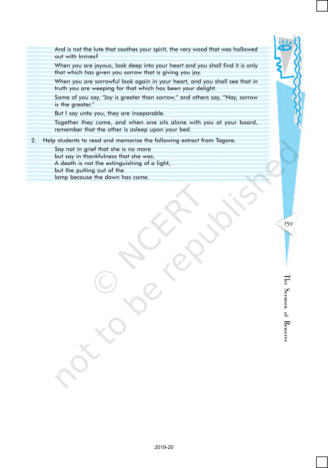And is not the lute that soothes your spirit, the very wood that was hollowed out with knives?

When you are joyous, look deep into your heart and you shall find it is only that which has given you sorrow that is giving you joy.

When you are sorrowful look again in your heart, and you shall see that in truth you are weeping for that which has been your delight.

Some of you say, "Joy is greater than sorrow," and others say, "Nay, sorrow is the greater."

But I say unto you, they are inseparable.

Together they come, and when one sits alone with you at your board, remember that the other is asleep upon your bed.

2. Help students to read and memorise the following extract from Tagore.

Say not in grief that she is no more

but say in thankfulness that she was.

A death is not the extinguishing of a light,

but the putting out of the

lamp because the dawn has come.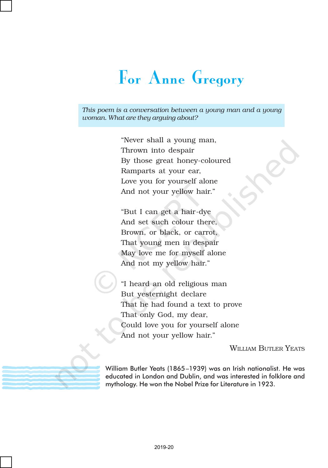# For Anne Gregory

*This poem is a conversation between a young man and a young woman. What are they arguing about?*

> "Never shall a young man, Thrown into despair By those great honey-coloured Ramparts at your ear, Love you for yourself alone And not your yellow hair."

"But I can get a hair-dye And set such colour there, Brown, or black, or carrot, That young men in despair May love me for myself alone And not my yellow hair."

"I heard an old religious man But yesternight declare That he had found a text to prove That only God, my dear, Could love you for yourself alone And not your yellow hair."

WILLIAM BUTLER YEATS

William Butler Yeats (1865–1939) was an Irish nationalist. He was educated in London and Dublin, and was interested in folklore and mythology. He won the Nobel Prize for Literature in 1923.